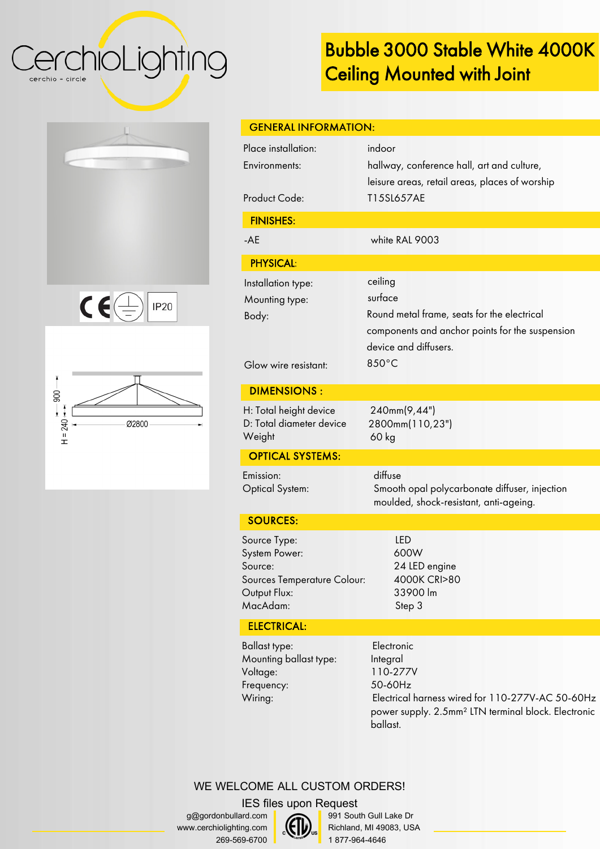CerchioLighting cerchio = circle

## **Bubble 3000 Stable White 4000K Ceiling Mounted with Joint**

| $\epsilon$<br><b>IP20</b><br>$\pm$ |
|------------------------------------|





**Electronic** Integral 110-277V 50-60Hz Electrical harness wired for 110-277V-AC 50-60Hz power supply. 2.5mm² LTN terminal block. Electronic ballast.

| <b>GENERAL INFORMATION:</b>                                                                         |                                                                                                                                                        |  |
|-----------------------------------------------------------------------------------------------------|--------------------------------------------------------------------------------------------------------------------------------------------------------|--|
| Place installation:<br>Environments:<br><b>Product Code:</b>                                        | indoor<br>hallway, conference hall, art and culture,<br>leisure areas, retail areas, places of worship<br>T15SL657AE                                   |  |
| <b>FINISHES:</b>                                                                                    |                                                                                                                                                        |  |
| $-AE$                                                                                               | white RAL 9003                                                                                                                                         |  |
| <b>PHYSICAL:</b>                                                                                    |                                                                                                                                                        |  |
| Installation type:<br>Mounting type:<br>Body:<br>Glow wire resistant:                               | ceiling<br>surface<br>Round metal frame, seats for the electrical<br>components and anchor points for the suspension<br>device and diffusers.<br>850°C |  |
| <b>DIMENSIONS:</b>                                                                                  |                                                                                                                                                        |  |
| H: Total height device<br>D: Total diameter device<br>Weight                                        | 240mm(9,44")<br>2800mm(110,23")<br>60 kg                                                                                                               |  |
| <b>OPTICAL SYSTEMS:</b>                                                                             |                                                                                                                                                        |  |
| Emission:<br><b>Optical System:</b>                                                                 | diffuse<br>Smooth opal polycarbonate diffuser, injection<br>moulded, shock-resistant, anti-ageing.                                                     |  |
| <b>SOURCES:</b>                                                                                     |                                                                                                                                                        |  |
| Source Type:<br>System Power:<br>Source:<br>Sources Temperature Colour:<br>Output Flux:<br>MacAdam: | <b>LED</b><br>600W<br>24 LED engine<br>4000K CRI>80<br>33900 lm<br>Step 3                                                                              |  |
| <b>ELECTRICAL:</b>                                                                                  |                                                                                                                                                        |  |

Ballast type: Mounting ballast type: Voltage: Frequency: Wiring: